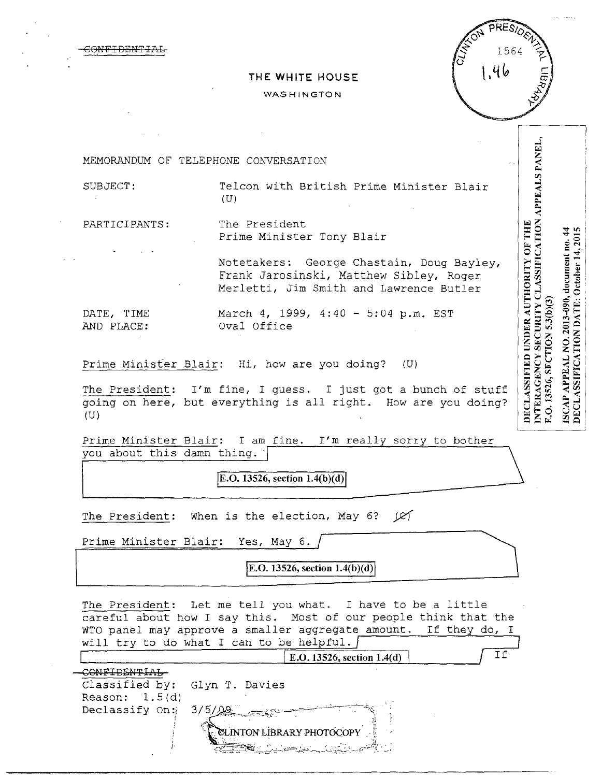| <del>CONFIDENTIAL</del> |  |  |
|-------------------------|--|--|
|                         |  |  |
|                         |  |  |

|  | THE WHITE HOUSE |  |
|--|-----------------|--|
|  |                 |  |

### WASHINGTON



INTERAGENCY SECURITY CLASSIFICATION APPEALS PANEL, MEMORANDUM OF TELEPHONE CONVERSATION SUBJECT: Telcon with British Prime Minister Blair  $(U)$ PARTICIPANTS: The President DECLASSIFIED UNDER AUTHORITY OF THE ISCAP APPEAL NO. 2013-090, document no. 44 DECLASSIFICATION DATE: October 14, 2015 Prime Minister Tony Blair Notetakers: George Chastain, Doug Bayley, Frank Jarosinski, Matthew Sibley, Roger Merletti, Jim Smith and Lawrence Butler E.O. 13526, SECTION 5.3(b)(3) DATE, TIME March 4, 1999, 4:40 - 5:04 p.m. EST AND PLACE: Oval Office Prime Minister Blair: Hi, how are you doing? (U)

The President: I'm fine, I guess. I just got a bunch of stuff going on here, but everything is all right. How are you doing? (U)

Prime Minister Blair: I am fine. I'm really sorry to bother you about this damn thing. |

**[E.O. 13526, section 1.4(b)(d)** 

The President: When is the election, May 6?  $(2)$ 

Prime Minister Blair: Yes, May 6.

**E.O. 13526, section 1.4(b)(d)** 

The President: Let me tell you what. I have to be a little careful about how I say this. Most of our people think that the WTO panel may approve a smaller aggregate amount. If they do, I will try to do what I can to be helpful.

|                               | E.O. 13526, section $1.4(d)$                                                                                                                                                                                                     |  |
|-------------------------------|----------------------------------------------------------------------------------------------------------------------------------------------------------------------------------------------------------------------------------|--|
|                               |                                                                                                                                                                                                                                  |  |
| Classified by: Glyn T. Davies |                                                                                                                                                                                                                                  |  |
| Reason: $1.5(d)$              |                                                                                                                                                                                                                                  |  |
| Declassify On: $3/5/9$        | المستشف بالتقييدي                                                                                                                                                                                                                |  |
|                               |                                                                                                                                                                                                                                  |  |
|                               | <b>EXELINTON LIBRARY PHOTOCOPY</b>                                                                                                                                                                                               |  |
|                               | المَرْكَةِ مُسْتَمِينٍ مِنْ الْمَرْكَةِ الْمَسْتَمِينَ مِنْ الْمَسْتَمِينَ مِنْ الْمَسْتَمِينَ مِنْ الْمَسْتَم<br>الْمَرْكَةِ الْمَسْتَمِينَ مِنْ الْمُسْتَمِينَ مِنْ الْمُسْتَمِينَ الْمُسْتَمِينَ مِنْ الْمُسْتَمِينَ مِنْ الْ |  |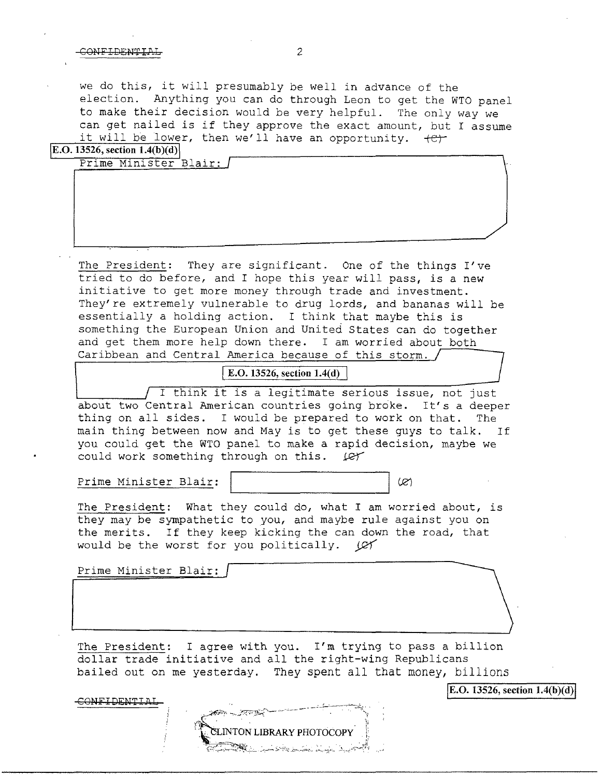### CONFIDENTIAL<sub>2</sub>

we do this, it will presumably be well in advance of the election. Anything you can do through Leon to get the WTO panel to make their decision would be very helpful. The only way we can get nailed is if they approve the exact amount, but I assume it will be lower, then we'll have an opportunity.  $+e^+$ 

**\E.O. 13526, section l.4(b)(d)\** 

| Prime Minister Blair: |  |
|-----------------------|--|
| -----                 |  |
|                       |  |
|                       |  |
|                       |  |
|                       |  |
|                       |  |
|                       |  |
|                       |  |
|                       |  |
|                       |  |
|                       |  |
|                       |  |
|                       |  |
|                       |  |
|                       |  |
|                       |  |

The President: They are significant. One of the things I've tried to do before, and I hope this year will pass, is a new initiative to get more money through trade and investment. They're extremely vulnerable to drug lords, and bananas will be essentially a holding action. I think that maybe this is something the European Union and United States can do together and get them more help down there. I am worried about both Caribbean and Central America because of this storm.

# **E.O. 13526, section 1.4(d)**

I think it is a legitimate serious issue, not just about two Central American countries going broke. It's a deeper thing on all sides. I would be prepared to work on that. The main thing between now and May is to get these guys to talk. If you could get the WTO panel to make a rapid decision, maybe we could work something through on this. (et

Prime Minister Blair: (2)

The President: What they could do, what I am worried about, is they may be sympathetic to you, and maybe rule against you on the merits. If they keep kicking the can down the road, that would be the worst for you politically.  $\mathcal{Q}$ 

Prime Minister Blair:

The President: I agree with you. I'm trying to pass a billion dollar trade initiative and all the right-wing Republicans bailed out on me yesterday. They spent all that money, billions

CONFIDENTIA.



**\E.O. 13526, section 1.4(b)(d)\**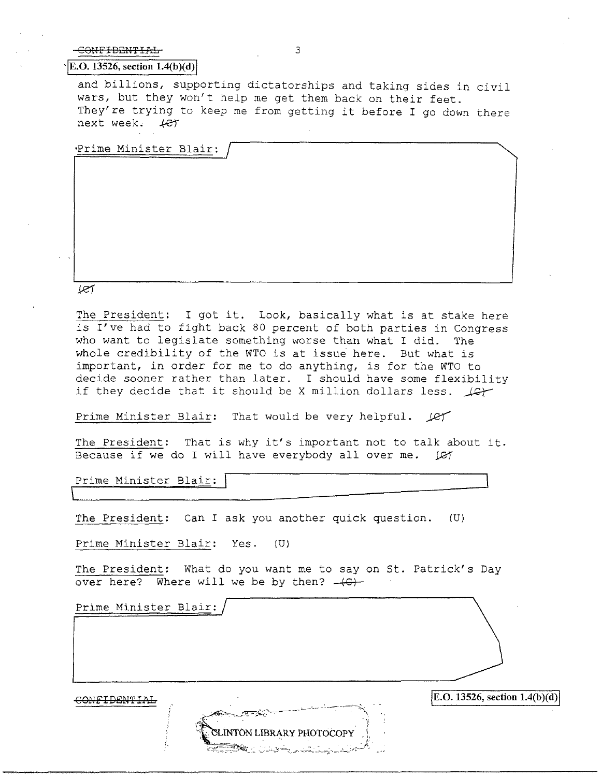## CONFIDENTIAL 3

#### $\vert$ **E.O.** 13526, section 1.4(b)(d)

and billions, supporting dictatorships and taking sides in civil wars, but they won't help me get them back on their feet. They're trying to keep me from getting it before I go down there next week.  $+e^+$ 

Prime Minister Blair:

أسحلا

The President: I got it. Look, basically what is at stake here is I've had to fight back 80 percent of both parties in Congress who want to legislate something worse than what I did. The whole credibility of the WTO is at issue here. But what is important, in order for me to do anything, is for the WTO to decide sooner rather than later. I should have some flexibility<br>if they decide that it should be X million dollars less.

Prime Minister Blair: That would be very helpful.  $\sqrt{2}$ 

The President: That is why it's important not to talk about it. Because if we do I will have everybody all over me. *IE*Y

Prime Minister Blair:  $\overline{\sqsubset}$ 

The President: Can I ask you another quick question.  $(U)$ 

Prime Minister Blair: Yes. (U)

The President: What do you want me to say on St. Patrick's Day over here? Where will we be by then?  $-(C)$ -

INTON LIBRARY PHOTOCOPY

Prime Minister Blair:

**JE.O. 13526, section 1.4(b)(d) JE.O. 13526, section 1.4(b)(d)**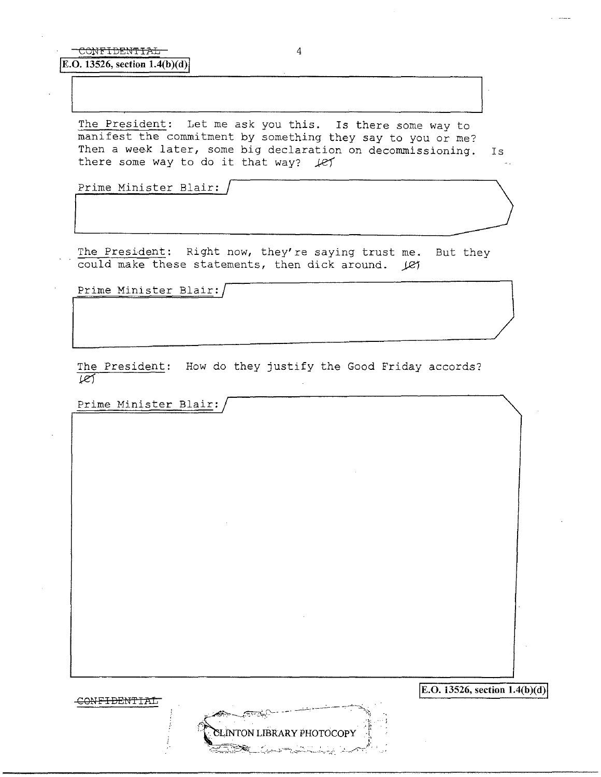The President: Let me ask you this. Is there some way to manifest the commitment by something they say to you or me? Then a week later, some big declaration on decommissioning. Is<br>there some way to do it that way?  $\cancel{\ell}$   $\cancel{\ell}$ their a week facer, some big decidention.

The President: Right now, they're saying trust me. But they could make these statements, then dick around.  $\angle$ e1

Prime Minister Blair:

The President: How do they justify the Good Friday accords?  $\overline{\mathscr{L}}$ 

**INTON LIBRARY PHOTOCOPY** 

Prime Minister Blair:

**[E.O. 13526, section 1.4(b)(d)** 

CONFIDENTIAL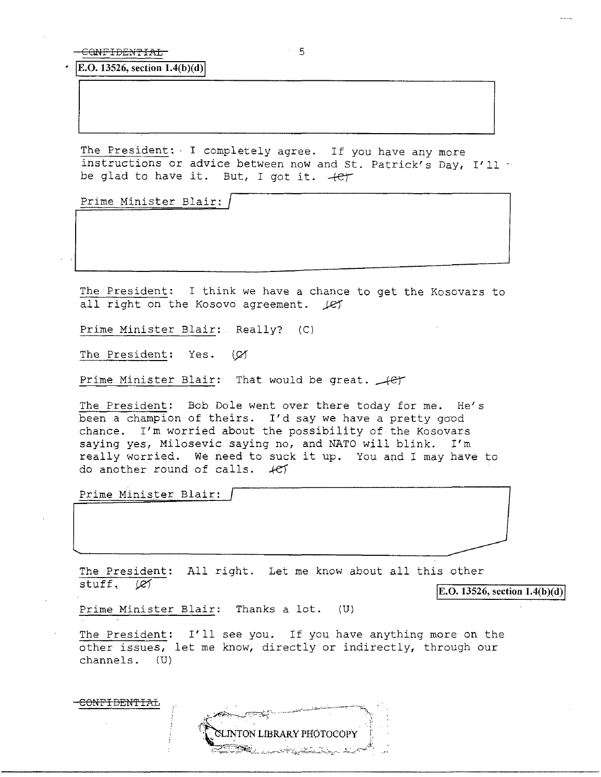• jE.O. 13526, section **1.4(b )( d)** I

The President: I completely agree. If you have any more instructions or advice between now and St. Patrick's Day, I'll be glad to have it. But, I got it. +er

Prime Minister Blair: /

The President: I think we have a chance to get the Kosovars to all right on the Kosovo agreement.  $\angle$ ey

Prime Minister Blair: Really? (C)

The President: Yes. (Ø

Prime Minister Blair: That would be great.  $\sqrt{e^2 + 1}$ 

The President: Bob Dole went over there today for me. He's been a champion of theirs. I'd say we have a pretty good chance. I'm worried about the possibility of the Kosovars saying yes, Milosevic saying no, and NATO will blink. I'm really worried. We need to suck it up. You and I may have to do another round of calls.  $#f$ 

Prime Minister Blair:

<del>CONFIDENTIAL</del>

The President: All right. Let me know about all this other stuff.  $\varnothing$ 

 $|E.O. 13526$ , section  $1.4(b)(d)$ 

Prime Minister Blair: Thanks a lot. (U)

The President: I'll see you. If you have anything more on the other issues, let me know, directly or indirectly, through our channels. (U)